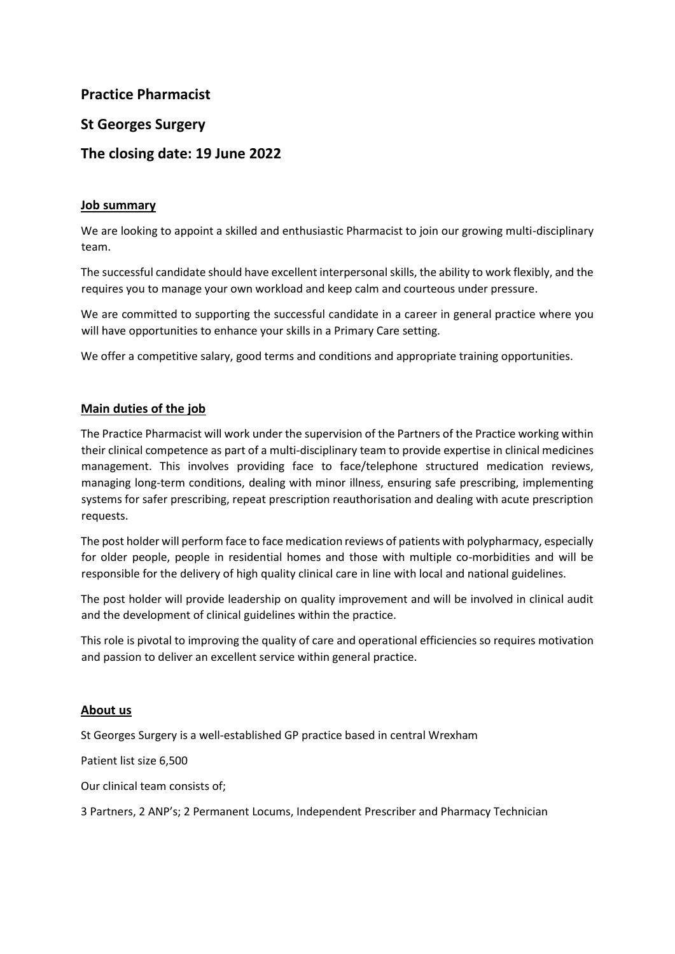**Practice Pharmacist** 

# **St Georges Surgery**

# **The closing date: 19 June 2022**

# **Job summary**

We are looking to appoint a skilled and enthusiastic Pharmacist to join our growing multi-disciplinary team.

The successful candidate should have excellent interpersonal skills, the ability to work flexibly, and the requires you to manage your own workload and keep calm and courteous under pressure.

We are committed to supporting the successful candidate in a career in general practice where you will have opportunities to enhance your skills in a Primary Care setting.

We offer a competitive salary, good terms and conditions and appropriate training opportunities.

# **Main duties of the job**

The Practice Pharmacist will work under the supervision of the Partners of the Practice working within their clinical competence as part of a multi-disciplinary team to provide expertise in clinical medicines management. This involves providing face to face/telephone structured medication reviews, managing long-term conditions, dealing with minor illness, ensuring safe prescribing, implementing systems for safer prescribing, repeat prescription reauthorisation and dealing with acute prescription requests.

The post holder will perform face to face medication reviews of patients with polypharmacy, especially for older people, people in residential homes and those with multiple co-morbidities and will be responsible for the delivery of high quality clinical care in line with local and national guidelines.

The post holder will provide leadership on quality improvement and will be involved in clinical audit and the development of clinical guidelines within the practice.

This role is pivotal to improving the quality of care and operational efficiencies so requires motivation and passion to deliver an excellent service within general practice.

# **About us**

St Georges Surgery is a well-established GP practice based in central Wrexham

Patient list size 6,500

Our clinical team consists of;

3 Partners, 2 ANP's; 2 Permanent Locums, Independent Prescriber and Pharmacy Technician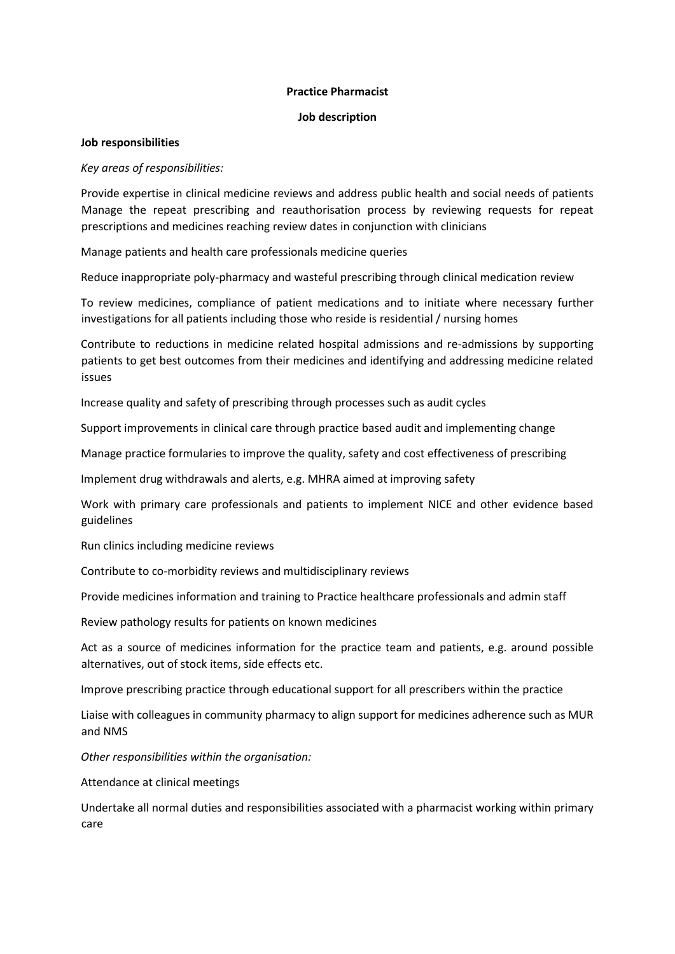## **Practice Pharmacist**

## **Job description**

## **Job responsibilities**

# *Key areas of responsibilities:*

Provide expertise in clinical medicine reviews and address public health and social needs of patients Manage the repeat prescribing and reauthorisation process by reviewing requests for repeat prescriptions and medicines reaching review dates in conjunction with clinicians

Manage patients and health care professionals medicine queries

Reduce inappropriate poly-pharmacy and wasteful prescribing through clinical medication review

To review medicines, compliance of patient medications and to initiate where necessary further investigations for all patients including those who reside is residential / nursing homes

Contribute to reductions in medicine related hospital admissions and re-admissions by supporting patients to get best outcomes from their medicines and identifying and addressing medicine related issues

Increase quality and safety of prescribing through processes such as audit cycles

Support improvements in clinical care through practice based audit and implementing change

Manage practice formularies to improve the quality, safety and cost effectiveness of prescribing

Implement drug withdrawals and alerts, e.g. MHRA aimed at improving safety

Work with primary care professionals and patients to implement NICE and other evidence based guidelines

Run clinics including medicine reviews

Contribute to co-morbidity reviews and multidisciplinary reviews

Provide medicines information and training to Practice healthcare professionals and admin staff

Review pathology results for patients on known medicines

Act as a source of medicines information for the practice team and patients, e.g. around possible alternatives, out of stock items, side effects etc.

Improve prescribing practice through educational support for all prescribers within the practice

Liaise with colleagues in community pharmacy to align support for medicines adherence such as MUR and NMS

*Other responsibilities within the organisation:* 

Attendance at clinical meetings

Undertake all normal duties and responsibilities associated with a pharmacist working within primary care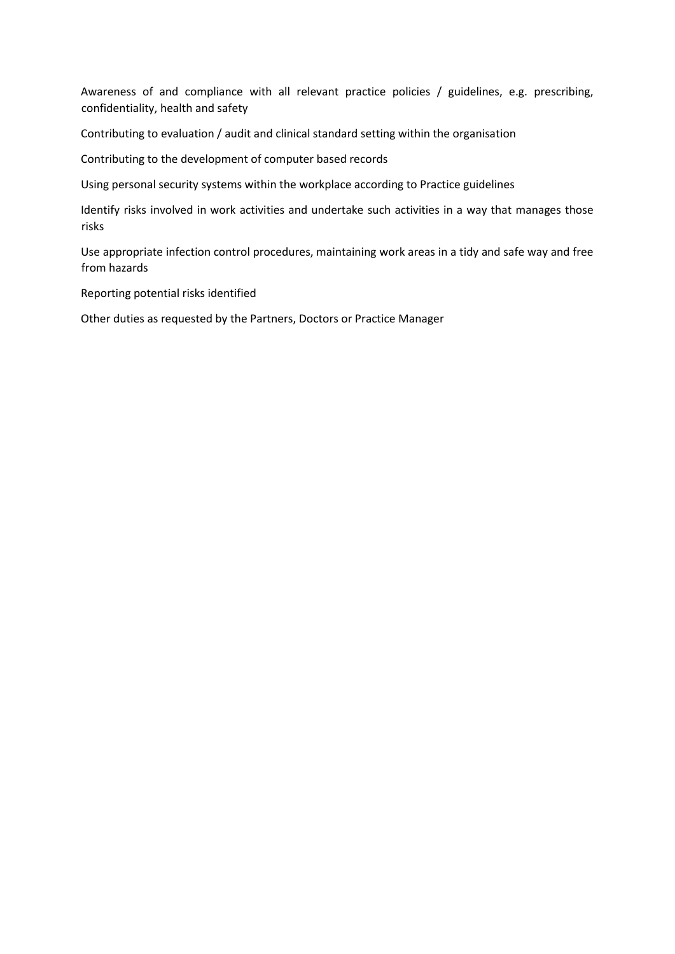Awareness of and compliance with all relevant practice policies / guidelines, e.g. prescribing, confidentiality, health and safety

Contributing to evaluation / audit and clinical standard setting within the organisation

Contributing to the development of computer based records

Using personal security systems within the workplace according to Practice guidelines

Identify risks involved in work activities and undertake such activities in a way that manages those risks

Use appropriate infection control procedures, maintaining work areas in a tidy and safe way and free from hazards

Reporting potential risks identified

Other duties as requested by the Partners, Doctors or Practice Manager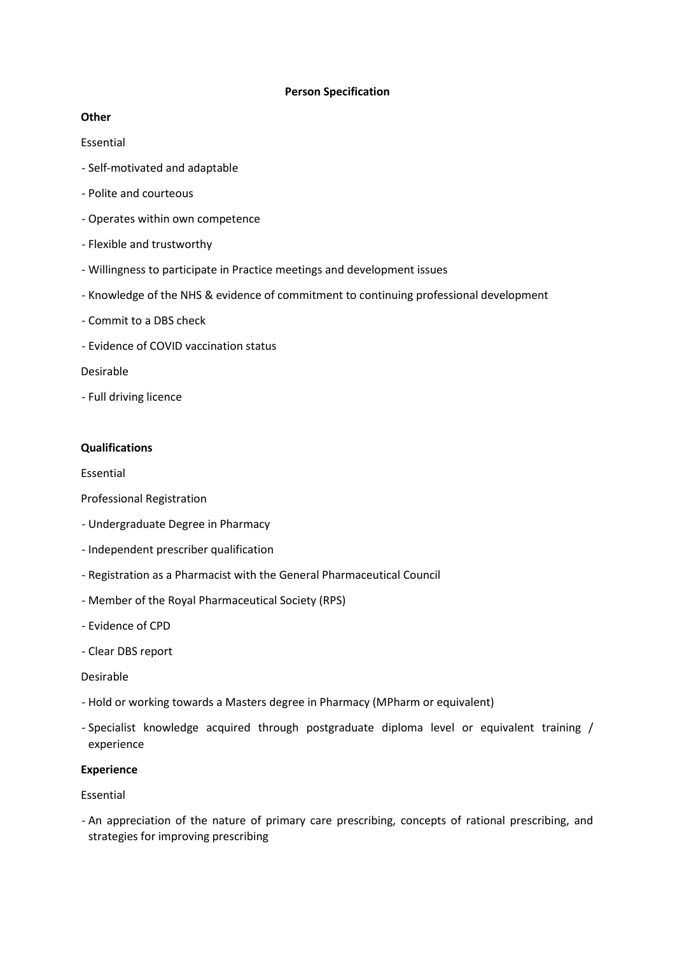#### **Person Specification**

## **Other**

#### Essential

- Self-motivated and adaptable
- Polite and courteous
- Operates within own competence
- Flexible and trustworthy
- Willingness to participate in Practice meetings and development issues
- Knowledge of the NHS & evidence of commitment to continuing professional development
- Commit to a DBS check
- Evidence of COVID vaccination status

#### Desirable

- Full driving licence

#### **Qualifications**

Essential

- Professional Registration
- Undergraduate Degree in Pharmacy
- Independent prescriber qualification
- Registration as a Pharmacist with the General Pharmaceutical Council
- Member of the Royal Pharmaceutical Society (RPS)
- Evidence of CPD
- Clear DBS report

#### Desirable

- Hold or working towards a Masters degree in Pharmacy (MPharm or equivalent)
- Specialist knowledge acquired through postgraduate diploma level or equivalent training / experience

#### **Experience**

#### Essential

- An appreciation of the nature of primary care prescribing, concepts of rational prescribing, and strategies for improving prescribing